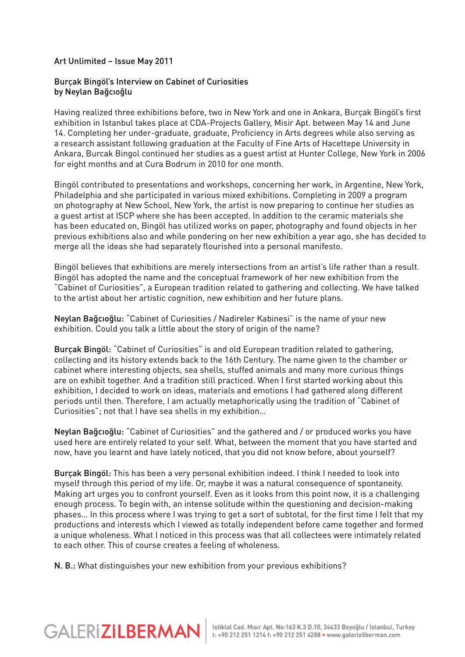## Art Unlimited – Issue May 2011

## Burçak Bingöl's Interview on Cabinet of Curiosities by Neylan Bağcıoğlu

Having realized three exhibitions before, two in New York and one in Ankara, Burçak Bingöl's first exhibition in Istanbul takes place at CDA-Projects Gallery, Misir Apt. between May 14 and June 14. Completing her under-graduate, graduate, Proficiency in Arts degrees while also serving as a research assistant following graduation at the Faculty of Fine Arts of Hacettepe University in Ankara, Burcak Bingol continued her studies as a guest artist at Hunter College, New York in 2006 for eight months and at Cura Bodrum in 2010 for one month.

Bingöl contributed to presentations and workshops, concerning her work, in Argentine, New York, Philadelphia and she participated in various mixed exhibitions. Completing in 2009 a program on photography at New School, New York, the artist is now preparing to continue her studies as a guest artist at ISCP where she has been accepted. In addition to the ceramic materials she has been educated on, Bingöl has utilized works on paper, photography and found objects in her previous exhibitions also and while pondering on her new exhibition a year ago, she has decided to merge all the ideas she had separately flourished into a personal manifesto.

Bingöl believes that exhibitions are merely intersections from an artist's life rather than a result. Bingöl has adopted the name and the conceptual framework of her new exhibition from the "Cabinet of Curiosities", a European tradition related to gathering and collecting. We have talked to the artist about her artistic cognition, new exhibition and her future plans.

Neylan Bağcıoğlu: "Cabinet of Curiosities / Nadireler Kabinesi" is the name of your new exhibition. Could you talk a little about the story of origin of the name?

Burçak Bingöl: "Cabinet of Curiosities" is and old European tradition related to gathering, collecting and its history extends back to the 16th Century. The name given to the chamber or cabinet where interesting objects, sea shells, stuffed animals and many more curious things are on exhibit together. And a tradition still practiced. When I first started working about this exhibition, I decided to work on ideas, materials and emotions I had gathered along different periods until then. Therefore, I am actually metaphorically using the tradition of "Cabinet of Curiosities"; not that I have sea shells in my exhibition…

Neylan Bağcıoğlu: "Cabinet of Curiosities" and the gathered and / or produced works you have used here are entirely related to your self. What, between the moment that you have started and now, have you learnt and have lately noticed, that you did not know before, about yourself?

Burçak Bingöl: This has been a very personal exhibition indeed. I think I needed to look into myself through this period of my life. Or, maybe it was a natural consequence of spontaneity. Making art urges you to confront yourself. Even as it looks from this point now, it is a challenging enough process. To begin with, an intense solitude within the questioning and decision-making phases… In this process where I was trying to get a sort of subtotal, for the first time I felt that my productions and interests which I viewed as totally independent before came together and formed a unique wholeness. What I noticed in this process was that all collectees were intimately related to each other. This of course creates a feeling of wholeness.

N. B.: What distinguishes your new exhibition from your previous exhibitions?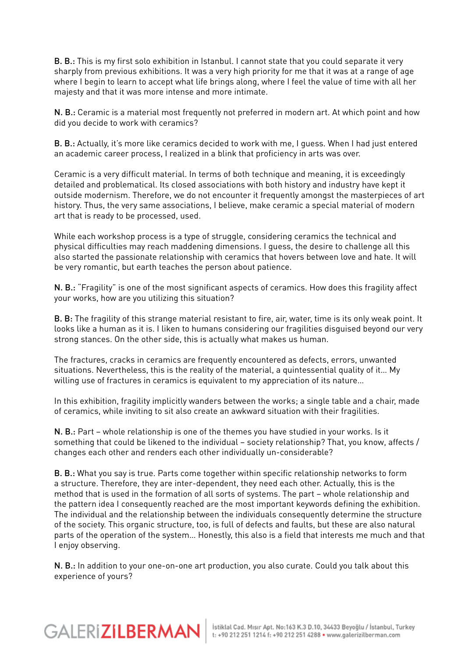B. B.: This is my first solo exhibition in Istanbul. I cannot state that you could separate it very sharply from previous exhibitions. It was a very high priority for me that it was at a range of age where I begin to learn to accept what life brings along, where I feel the value of time with all her majesty and that it was more intense and more intimate.

N. B.: Ceramic is a material most frequently not preferred in modern art. At which point and how did you decide to work with ceramics?

B. B.: Actually, it's more like ceramics decided to work with me, I guess. When I had just entered an academic career process, I realized in a blink that proficiency in arts was over.

Ceramic is a very difficult material. In terms of both technique and meaning, it is exceedingly detailed and problematical. Its closed associations with both history and industry have kept it outside modernism. Therefore, we do not encounter it frequently amongst the masterpieces of art history. Thus, the very same associations, I believe, make ceramic a special material of modern art that is ready to be processed, used.

While each workshop process is a type of struggle, considering ceramics the technical and physical difficulties may reach maddening dimensions. I guess, the desire to challenge all this also started the passionate relationship with ceramics that hovers between love and hate. It will be very romantic, but earth teaches the person about patience.

N. B.: "Fragility" is one of the most significant aspects of ceramics. How does this fragility affect your works, how are you utilizing this situation?

B. B: The fragility of this strange material resistant to fire, air, water, time is its only weak point. It looks like a human as it is. I liken to humans considering our fragilities disguised beyond our very strong stances. On the other side, this is actually what makes us human.

The fractures, cracks in ceramics are frequently encountered as defects, errors, unwanted situations. Nevertheless, this is the reality of the material, a quintessential quality of it… My willing use of fractures in ceramics is equivalent to my appreciation of its nature…

In this exhibition, fragility implicitly wanders between the works; a single table and a chair, made of ceramics, while inviting to sit also create an awkward situation with their fragilities.

N. B.: Part – whole relationship is one of the themes you have studied in your works. Is it something that could be likened to the individual – society relationship? That, you know, affects / changes each other and renders each other individually un-considerable?

B. B.: What you say is true. Parts come together within specific relationship networks to form a structure. Therefore, they are inter-dependent, they need each other. Actually, this is the method that is used in the formation of all sorts of systems. The part – whole relationship and the pattern idea I consequently reached are the most important keywords defining the exhibition. The individual and the relationship between the individuals consequently determine the structure of the society. This organic structure, too, is full of defects and faults, but these are also natural parts of the operation of the system… Honestly, this also is a field that interests me much and that I enjoy observing.

N. B.: In addition to your one-on-one art production, you also curate. Could you talk about this experience of yours?